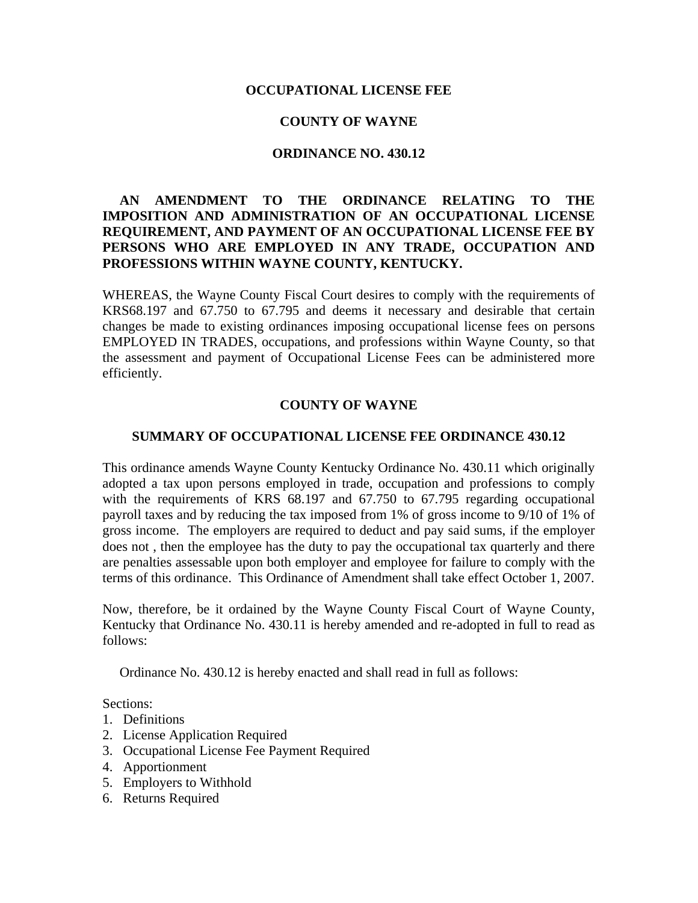### **OCCUPATIONAL LICENSE FEE**

#### **COUNTY OF WAYNE**

#### **ORDINANCE NO. 430.12**

# **AN AMENDMENT TO THE ORDINANCE RELATING TO THE IMPOSITION AND ADMINISTRATION OF AN OCCUPATIONAL LICENSE REQUIREMENT, AND PAYMENT OF AN OCCUPATIONAL LICENSE FEE BY PERSONS WHO ARE EMPLOYED IN ANY TRADE, OCCUPATION AND PROFESSIONS WITHIN WAYNE COUNTY, KENTUCKY.**

WHEREAS, the Wayne County Fiscal Court desires to comply with the requirements of KRS68.197 and 67.750 to 67.795 and deems it necessary and desirable that certain changes be made to existing ordinances imposing occupational license fees on persons EMPLOYED IN TRADES, occupations, and professions within Wayne County, so that the assessment and payment of Occupational License Fees can be administered more efficiently.

#### **COUNTY OF WAYNE**

#### **SUMMARY OF OCCUPATIONAL LICENSE FEE ORDINANCE 430.12**

This ordinance amends Wayne County Kentucky Ordinance No. 430.11 which originally adopted a tax upon persons employed in trade, occupation and professions to comply with the requirements of KRS 68.197 and 67.750 to 67.795 regarding occupational payroll taxes and by reducing the tax imposed from 1% of gross income to 9/10 of 1% of gross income. The employers are required to deduct and pay said sums, if the employer does not , then the employee has the duty to pay the occupational tax quarterly and there are penalties assessable upon both employer and employee for failure to comply with the terms of this ordinance. This Ordinance of Amendment shall take effect October 1, 2007.

Now, therefore, be it ordained by the Wayne County Fiscal Court of Wayne County, Kentucky that Ordinance No. 430.11 is hereby amended and re-adopted in full to read as follows:

Ordinance No. 430.12 is hereby enacted and shall read in full as follows:

Sections:

- 1. Definitions
- 2. License Application Required
- 3. Occupational License Fee Payment Required
- 4. Apportionment
- 5. Employers to Withhold
- 6. Returns Required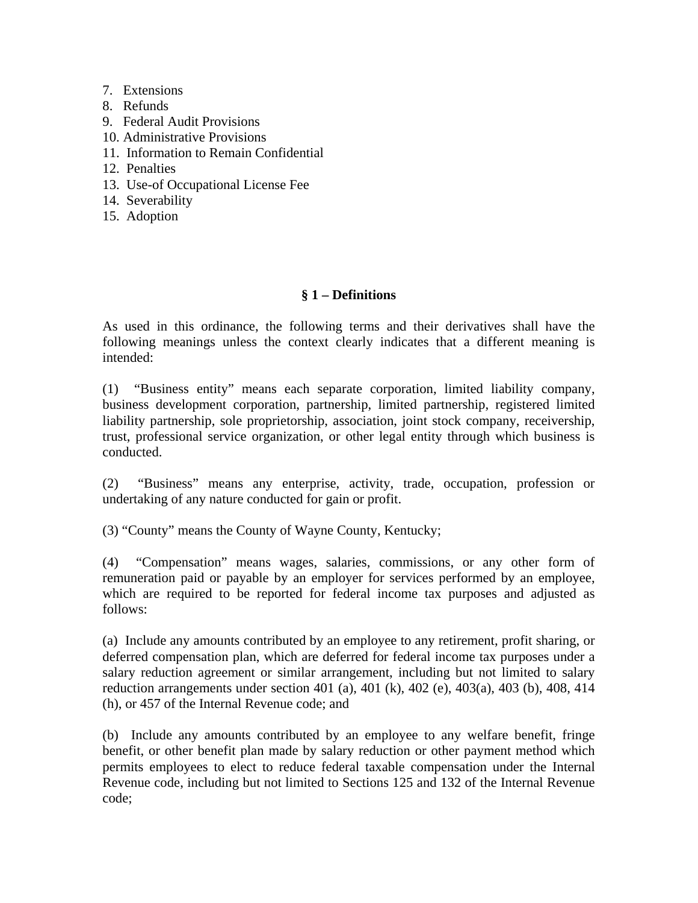- 7. Extensions
- 8. Refunds
- 9. Federal Audit Provisions
- 10. Administrative Provisions
- 11. Information to Remain Confidential
- 12. Penalties
- 13. Use-of Occupational License Fee
- 14. Severability
- 15. Adoption

# **§ 1 – Definitions**

As used in this ordinance, the following terms and their derivatives shall have the following meanings unless the context clearly indicates that a different meaning is intended:

(1) "Business entity" means each separate corporation, limited liability company, business development corporation, partnership, limited partnership, registered limited liability partnership, sole proprietorship, association, joint stock company, receivership, trust, professional service organization, or other legal entity through which business is conducted.

(2) "Business" means any enterprise, activity, trade, occupation, profession or undertaking of any nature conducted for gain or profit.

(3) "County" means the County of Wayne County, Kentucky;

(4) "Compensation" means wages, salaries, commissions, or any other form of remuneration paid or payable by an employer for services performed by an employee, which are required to be reported for federal income tax purposes and adjusted as follows:

(a) Include any amounts contributed by an employee to any retirement, profit sharing, or deferred compensation plan, which are deferred for federal income tax purposes under a salary reduction agreement or similar arrangement, including but not limited to salary reduction arrangements under section 401 (a), 401 (k), 402 (e), 403(a), 403 (b), 408, 414 (h), or 457 of the Internal Revenue code; and

(b) Include any amounts contributed by an employee to any welfare benefit, fringe benefit, or other benefit plan made by salary reduction or other payment method which permits employees to elect to reduce federal taxable compensation under the Internal Revenue code, including but not limited to Sections 125 and 132 of the Internal Revenue code;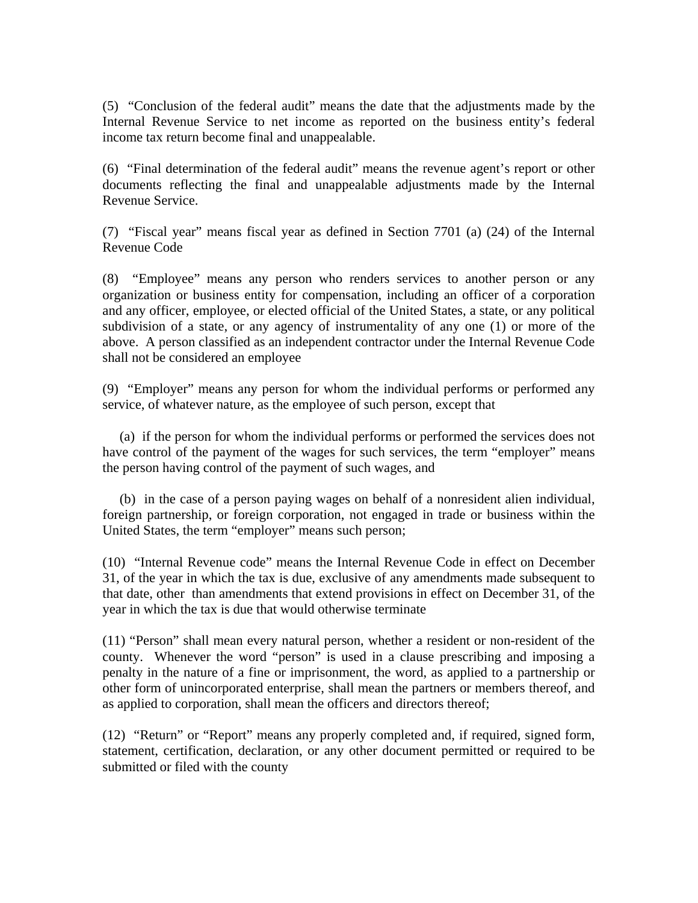(5) "Conclusion of the federal audit" means the date that the adjustments made by the Internal Revenue Service to net income as reported on the business entity's federal income tax return become final and unappealable.

(6) "Final determination of the federal audit" means the revenue agent's report or other documents reflecting the final and unappealable adjustments made by the Internal Revenue Service.

(7) "Fiscal year" means fiscal year as defined in Section 7701 (a) (24) of the Internal Revenue Code

(8) "Employee" means any person who renders services to another person or any organization or business entity for compensation, including an officer of a corporation and any officer, employee, or elected official of the United States, a state, or any political subdivision of a state, or any agency of instrumentality of any one (1) or more of the above. A person classified as an independent contractor under the Internal Revenue Code shall not be considered an employee

(9) "Employer" means any person for whom the individual performs or performed any service, of whatever nature, as the employee of such person, except that

 (a) if the person for whom the individual performs or performed the services does not have control of the payment of the wages for such services, the term "employer" means the person having control of the payment of such wages, and

 (b) in the case of a person paying wages on behalf of a nonresident alien individual, foreign partnership, or foreign corporation, not engaged in trade or business within the United States, the term "employer" means such person;

(10) "Internal Revenue code" means the Internal Revenue Code in effect on December 31, of the year in which the tax is due, exclusive of any amendments made subsequent to that date, other than amendments that extend provisions in effect on December 31, of the year in which the tax is due that would otherwise terminate

(11) "Person" shall mean every natural person, whether a resident or non-resident of the county. Whenever the word "person" is used in a clause prescribing and imposing a penalty in the nature of a fine or imprisonment, the word, as applied to a partnership or other form of unincorporated enterprise, shall mean the partners or members thereof, and as applied to corporation, shall mean the officers and directors thereof;

(12) "Return" or "Report" means any properly completed and, if required, signed form, statement, certification, declaration, or any other document permitted or required to be submitted or filed with the county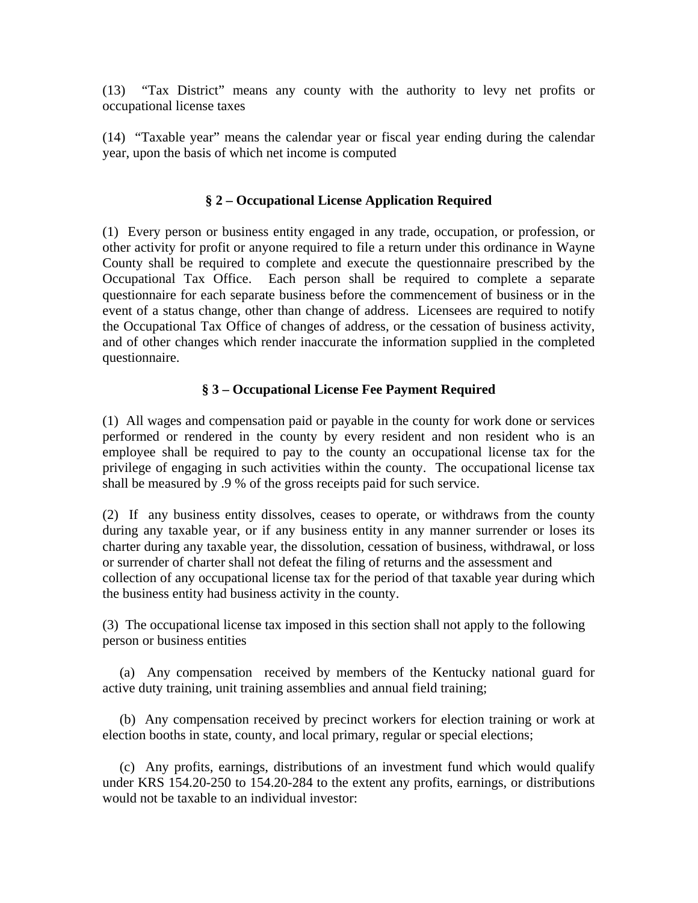(13) "Tax District" means any county with the authority to levy net profits or occupational license taxes

(14) "Taxable year" means the calendar year or fiscal year ending during the calendar year, upon the basis of which net income is computed

# **§ 2 – Occupational License Application Required**

(1) Every person or business entity engaged in any trade, occupation, or profession, or other activity for profit or anyone required to file a return under this ordinance in Wayne County shall be required to complete and execute the questionnaire prescribed by the Occupational Tax Office. Each person shall be required to complete a separate questionnaire for each separate business before the commencement of business or in the event of a status change, other than change of address. Licensees are required to notify the Occupational Tax Office of changes of address, or the cessation of business activity, and of other changes which render inaccurate the information supplied in the completed questionnaire.

# **§ 3 – Occupational License Fee Payment Required**

(1) All wages and compensation paid or payable in the county for work done or services performed or rendered in the county by every resident and non resident who is an employee shall be required to pay to the county an occupational license tax for the privilege of engaging in such activities within the county. The occupational license tax shall be measured by .9 % of the gross receipts paid for such service.

(2) If any business entity dissolves, ceases to operate, or withdraws from the county during any taxable year, or if any business entity in any manner surrender or loses its charter during any taxable year, the dissolution, cessation of business, withdrawal, or loss or surrender of charter shall not defeat the filing of returns and the assessment and collection of any occupational license tax for the period of that taxable year during which the business entity had business activity in the county.

(3) The occupational license tax imposed in this section shall not apply to the following person or business entities

 (a) Any compensation received by members of the Kentucky national guard for active duty training, unit training assemblies and annual field training;

 (b) Any compensation received by precinct workers for election training or work at election booths in state, county, and local primary, regular or special elections;

 (c) Any profits, earnings, distributions of an investment fund which would qualify under KRS 154.20-250 to 154.20-284 to the extent any profits, earnings, or distributions would not be taxable to an individual investor: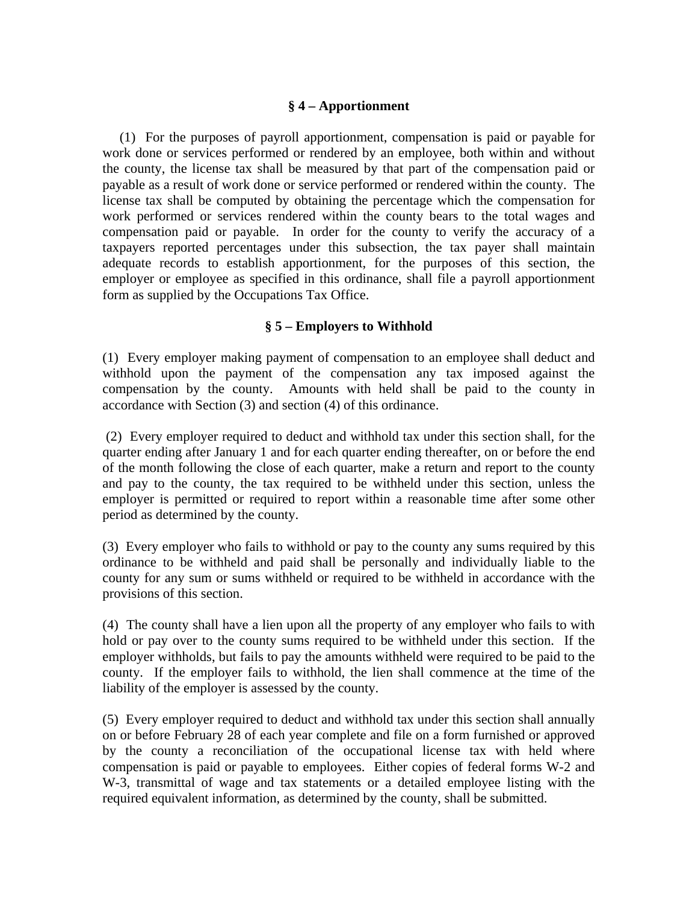## **§ 4 – Apportionment**

 (1) For the purposes of payroll apportionment, compensation is paid or payable for work done or services performed or rendered by an employee, both within and without the county, the license tax shall be measured by that part of the compensation paid or payable as a result of work done or service performed or rendered within the county. The license tax shall be computed by obtaining the percentage which the compensation for work performed or services rendered within the county bears to the total wages and compensation paid or payable. In order for the county to verify the accuracy of a taxpayers reported percentages under this subsection, the tax payer shall maintain adequate records to establish apportionment, for the purposes of this section, the employer or employee as specified in this ordinance, shall file a payroll apportionment form as supplied by the Occupations Tax Office.

# **§ 5 – Employers to Withhold**

(1) Every employer making payment of compensation to an employee shall deduct and withhold upon the payment of the compensation any tax imposed against the compensation by the county. Amounts with held shall be paid to the county in accordance with Section (3) and section (4) of this ordinance.

 (2) Every employer required to deduct and withhold tax under this section shall, for the quarter ending after January 1 and for each quarter ending thereafter, on or before the end of the month following the close of each quarter, make a return and report to the county and pay to the county, the tax required to be withheld under this section, unless the employer is permitted or required to report within a reasonable time after some other period as determined by the county.

(3) Every employer who fails to withhold or pay to the county any sums required by this ordinance to be withheld and paid shall be personally and individually liable to the county for any sum or sums withheld or required to be withheld in accordance with the provisions of this section.

(4) The county shall have a lien upon all the property of any employer who fails to with hold or pay over to the county sums required to be withheld under this section. If the employer withholds, but fails to pay the amounts withheld were required to be paid to the county. If the employer fails to withhold, the lien shall commence at the time of the liability of the employer is assessed by the county.

(5) Every employer required to deduct and withhold tax under this section shall annually on or before February 28 of each year complete and file on a form furnished or approved by the county a reconciliation of the occupational license tax with held where compensation is paid or payable to employees. Either copies of federal forms W-2 and W-3, transmittal of wage and tax statements or a detailed employee listing with the required equivalent information, as determined by the county, shall be submitted.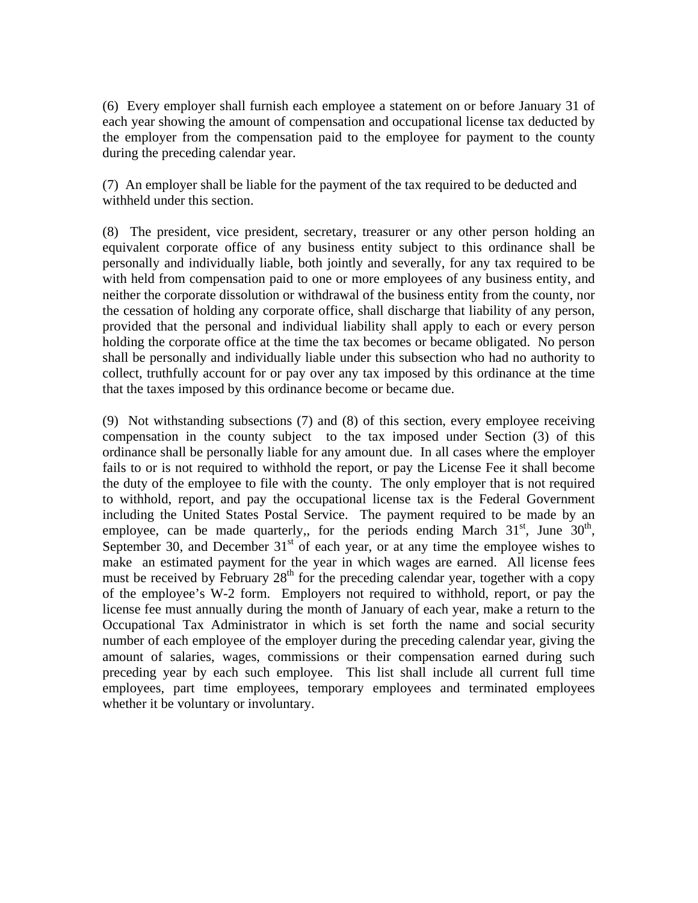(6) Every employer shall furnish each employee a statement on or before January 31 of each year showing the amount of compensation and occupational license tax deducted by the employer from the compensation paid to the employee for payment to the county during the preceding calendar year.

(7) An employer shall be liable for the payment of the tax required to be deducted and withheld under this section.

(8) The president, vice president, secretary, treasurer or any other person holding an equivalent corporate office of any business entity subject to this ordinance shall be personally and individually liable, both jointly and severally, for any tax required to be with held from compensation paid to one or more employees of any business entity, and neither the corporate dissolution or withdrawal of the business entity from the county, nor the cessation of holding any corporate office, shall discharge that liability of any person, provided that the personal and individual liability shall apply to each or every person holding the corporate office at the time the tax becomes or became obligated. No person shall be personally and individually liable under this subsection who had no authority to collect, truthfully account for or pay over any tax imposed by this ordinance at the time that the taxes imposed by this ordinance become or became due.

(9) Not withstanding subsections (7) and (8) of this section, every employee receiving compensation in the county subject to the tax imposed under Section (3) of this ordinance shall be personally liable for any amount due. In all cases where the employer fails to or is not required to withhold the report, or pay the License Fee it shall become the duty of the employee to file with the county. The only employer that is not required to withhold, report, and pay the occupational license tax is the Federal Government including the United States Postal Service. The payment required to be made by an employee, can be made quarterly,, for the periods ending March  $31<sup>st</sup>$ , June  $30<sup>th</sup>$ , September 30, and December  $31<sup>st</sup>$  of each year, or at any time the employee wishes to make an estimated payment for the year in which wages are earned. All license fees must be received by February  $28<sup>th</sup>$  for the preceding calendar year, together with a copy of the employee's W-2 form. Employers not required to withhold, report, or pay the license fee must annually during the month of January of each year, make a return to the Occupational Tax Administrator in which is set forth the name and social security number of each employee of the employer during the preceding calendar year, giving the amount of salaries, wages, commissions or their compensation earned during such preceding year by each such employee. This list shall include all current full time employees, part time employees, temporary employees and terminated employees whether it be voluntary or involuntary.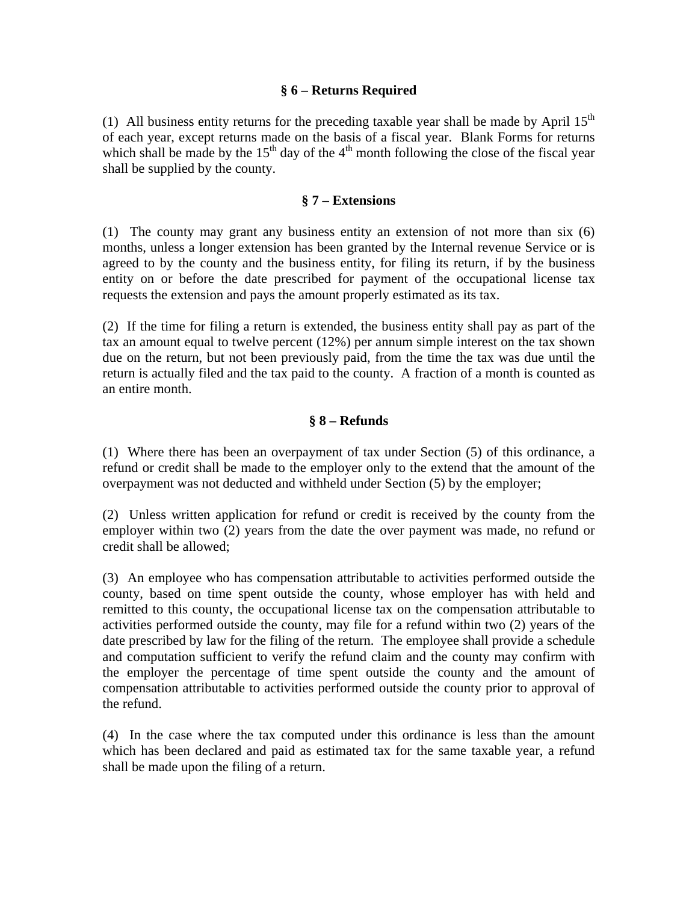### **§ 6 – Returns Required**

(1) All business entity returns for the preceding taxable year shall be made by April  $15<sup>th</sup>$ of each year, except returns made on the basis of a fiscal year. Blank Forms for returns which shall be made by the  $15<sup>th</sup>$  day of the 4<sup>th</sup> month following the close of the fiscal year shall be supplied by the county.

### **§ 7 – Extensions**

(1) The county may grant any business entity an extension of not more than six (6) months, unless a longer extension has been granted by the Internal revenue Service or is agreed to by the county and the business entity, for filing its return, if by the business entity on or before the date prescribed for payment of the occupational license tax requests the extension and pays the amount properly estimated as its tax.

(2) If the time for filing a return is extended, the business entity shall pay as part of the tax an amount equal to twelve percent (12%) per annum simple interest on the tax shown due on the return, but not been previously paid, from the time the tax was due until the return is actually filed and the tax paid to the county. A fraction of a month is counted as an entire month.

# **§ 8 – Refunds**

(1) Where there has been an overpayment of tax under Section (5) of this ordinance, a refund or credit shall be made to the employer only to the extend that the amount of the overpayment was not deducted and withheld under Section (5) by the employer;

(2) Unless written application for refund or credit is received by the county from the employer within two (2) years from the date the over payment was made, no refund or credit shall be allowed;

(3) An employee who has compensation attributable to activities performed outside the county, based on time spent outside the county, whose employer has with held and remitted to this county, the occupational license tax on the compensation attributable to activities performed outside the county, may file for a refund within two (2) years of the date prescribed by law for the filing of the return. The employee shall provide a schedule and computation sufficient to verify the refund claim and the county may confirm with the employer the percentage of time spent outside the county and the amount of compensation attributable to activities performed outside the county prior to approval of the refund.

(4) In the case where the tax computed under this ordinance is less than the amount which has been declared and paid as estimated tax for the same taxable year, a refund shall be made upon the filing of a return.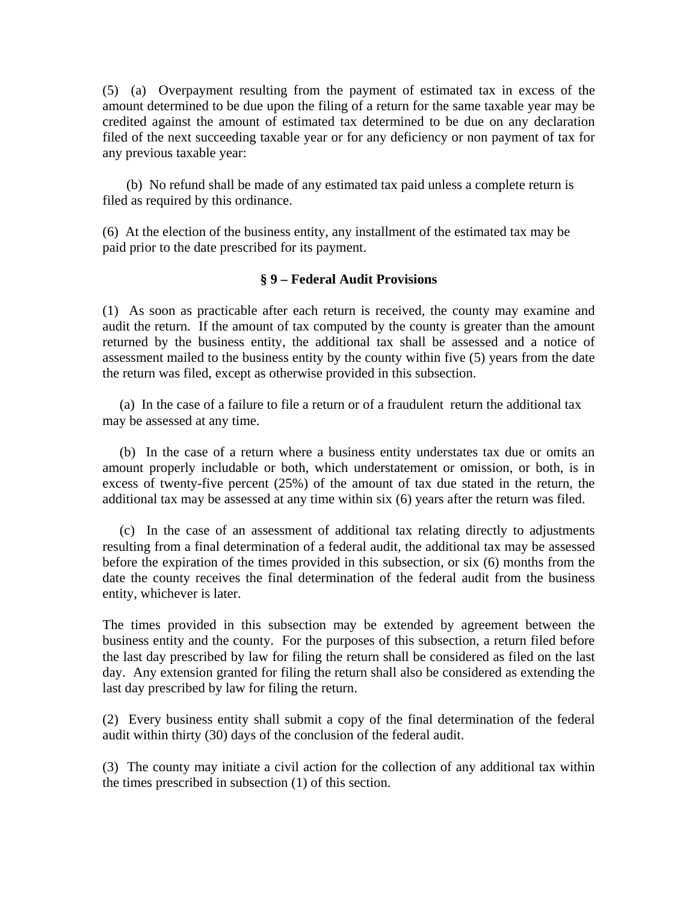(5) (a) Overpayment resulting from the payment of estimated tax in excess of the amount determined to be due upon the filing of a return for the same taxable year may be credited against the amount of estimated tax determined to be due on any declaration filed of the next succeeding taxable year or for any deficiency or non payment of tax for any previous taxable year:

 (b) No refund shall be made of any estimated tax paid unless a complete return is filed as required by this ordinance.

(6) At the election of the business entity, any installment of the estimated tax may be paid prior to the date prescribed for its payment.

### **§ 9 – Federal Audit Provisions**

(1) As soon as practicable after each return is received, the county may examine and audit the return. If the amount of tax computed by the county is greater than the amount returned by the business entity, the additional tax shall be assessed and a notice of assessment mailed to the business entity by the county within five (5) years from the date the return was filed, except as otherwise provided in this subsection.

 (a) In the case of a failure to file a return or of a fraudulent return the additional tax may be assessed at any time.

 (b) In the case of a return where a business entity understates tax due or omits an amount properly includable or both, which understatement or omission, or both, is in excess of twenty-five percent (25%) of the amount of tax due stated in the return, the additional tax may be assessed at any time within six (6) years after the return was filed.

 (c) In the case of an assessment of additional tax relating directly to adjustments resulting from a final determination of a federal audit, the additional tax may be assessed before the expiration of the times provided in this subsection, or six (6) months from the date the county receives the final determination of the federal audit from the business entity, whichever is later.

The times provided in this subsection may be extended by agreement between the business entity and the county. For the purposes of this subsection, a return filed before the last day prescribed by law for filing the return shall be considered as filed on the last day. Any extension granted for filing the return shall also be considered as extending the last day prescribed by law for filing the return.

(2) Every business entity shall submit a copy of the final determination of the federal audit within thirty (30) days of the conclusion of the federal audit.

(3) The county may initiate a civil action for the collection of any additional tax within the times prescribed in subsection (1) of this section.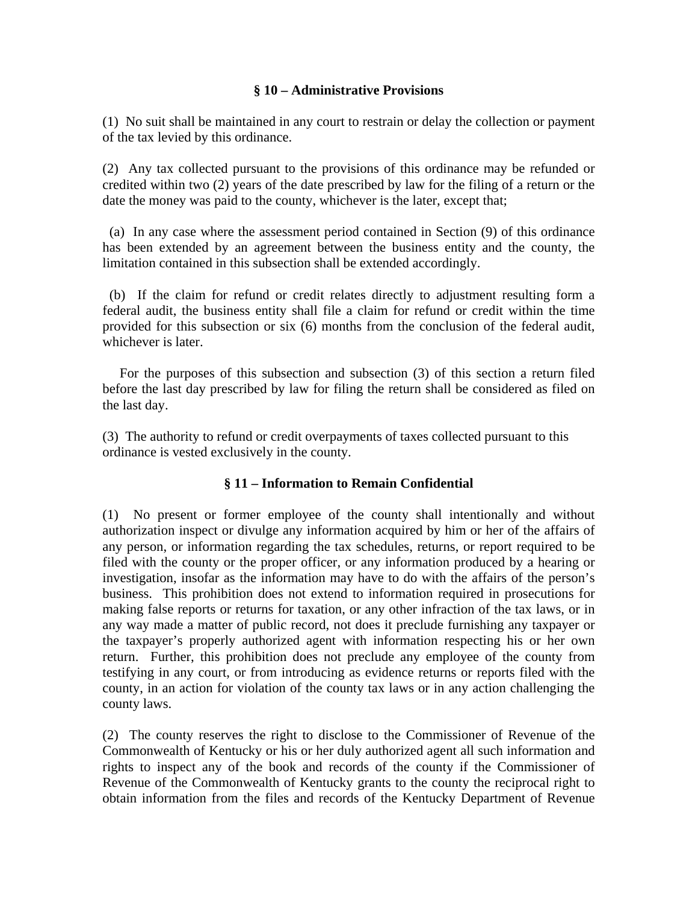### **§ 10 – Administrative Provisions**

(1) No suit shall be maintained in any court to restrain or delay the collection or payment of the tax levied by this ordinance.

(2) Any tax collected pursuant to the provisions of this ordinance may be refunded or credited within two (2) years of the date prescribed by law for the filing of a return or the date the money was paid to the county, whichever is the later, except that;

 (a) In any case where the assessment period contained in Section (9) of this ordinance has been extended by an agreement between the business entity and the county, the limitation contained in this subsection shall be extended accordingly.

 (b) If the claim for refund or credit relates directly to adjustment resulting form a federal audit, the business entity shall file a claim for refund or credit within the time provided for this subsection or six (6) months from the conclusion of the federal audit, whichever is later.

 For the purposes of this subsection and subsection (3) of this section a return filed before the last day prescribed by law for filing the return shall be considered as filed on the last day.

(3) The authority to refund or credit overpayments of taxes collected pursuant to this ordinance is vested exclusively in the county.

# **§ 11 – Information to Remain Confidential**

(1) No present or former employee of the county shall intentionally and without authorization inspect or divulge any information acquired by him or her of the affairs of any person, or information regarding the tax schedules, returns, or report required to be filed with the county or the proper officer, or any information produced by a hearing or investigation, insofar as the information may have to do with the affairs of the person's business. This prohibition does not extend to information required in prosecutions for making false reports or returns for taxation, or any other infraction of the tax laws, or in any way made a matter of public record, not does it preclude furnishing any taxpayer or the taxpayer's properly authorized agent with information respecting his or her own return. Further, this prohibition does not preclude any employee of the county from testifying in any court, or from introducing as evidence returns or reports filed with the county, in an action for violation of the county tax laws or in any action challenging the county laws.

(2) The county reserves the right to disclose to the Commissioner of Revenue of the Commonwealth of Kentucky or his or her duly authorized agent all such information and rights to inspect any of the book and records of the county if the Commissioner of Revenue of the Commonwealth of Kentucky grants to the county the reciprocal right to obtain information from the files and records of the Kentucky Department of Revenue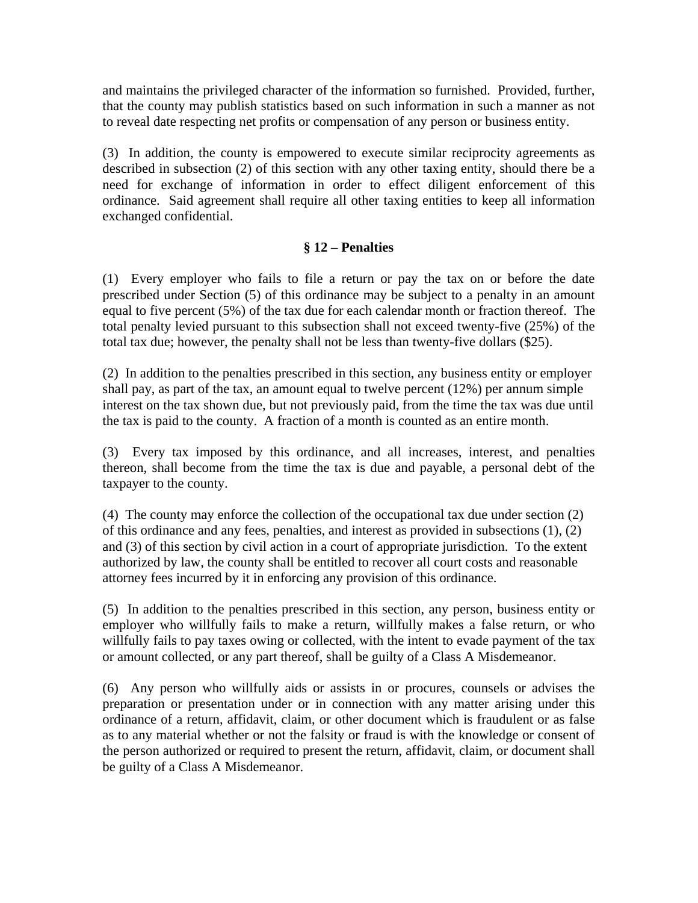and maintains the privileged character of the information so furnished. Provided, further, that the county may publish statistics based on such information in such a manner as not to reveal date respecting net profits or compensation of any person or business entity.

(3) In addition, the county is empowered to execute similar reciprocity agreements as described in subsection (2) of this section with any other taxing entity, should there be a need for exchange of information in order to effect diligent enforcement of this ordinance. Said agreement shall require all other taxing entities to keep all information exchanged confidential.

# **§ 12 – Penalties**

(1) Every employer who fails to file a return or pay the tax on or before the date prescribed under Section (5) of this ordinance may be subject to a penalty in an amount equal to five percent (5%) of the tax due for each calendar month or fraction thereof. The total penalty levied pursuant to this subsection shall not exceed twenty-five (25%) of the total tax due; however, the penalty shall not be less than twenty-five dollars (\$25).

(2) In addition to the penalties prescribed in this section, any business entity or employer shall pay, as part of the tax, an amount equal to twelve percent (12%) per annum simple interest on the tax shown due, but not previously paid, from the time the tax was due until the tax is paid to the county. A fraction of a month is counted as an entire month.

(3) Every tax imposed by this ordinance, and all increases, interest, and penalties thereon, shall become from the time the tax is due and payable, a personal debt of the taxpayer to the county.

(4) The county may enforce the collection of the occupational tax due under section (2) of this ordinance and any fees, penalties, and interest as provided in subsections (1), (2) and (3) of this section by civil action in a court of appropriate jurisdiction. To the extent authorized by law, the county shall be entitled to recover all court costs and reasonable attorney fees incurred by it in enforcing any provision of this ordinance.

(5) In addition to the penalties prescribed in this section, any person, business entity or employer who willfully fails to make a return, willfully makes a false return, or who willfully fails to pay taxes owing or collected, with the intent to evade payment of the tax or amount collected, or any part thereof, shall be guilty of a Class A Misdemeanor.

(6) Any person who willfully aids or assists in or procures, counsels or advises the preparation or presentation under or in connection with any matter arising under this ordinance of a return, affidavit, claim, or other document which is fraudulent or as false as to any material whether or not the falsity or fraud is with the knowledge or consent of the person authorized or required to present the return, affidavit, claim, or document shall be guilty of a Class A Misdemeanor.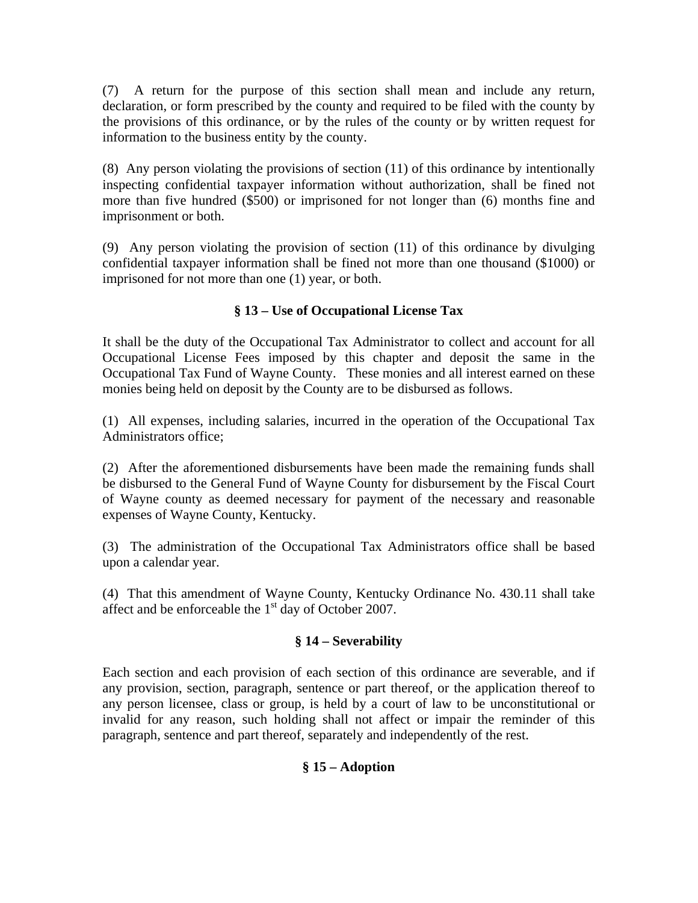(7) A return for the purpose of this section shall mean and include any return, declaration, or form prescribed by the county and required to be filed with the county by the provisions of this ordinance, or by the rules of the county or by written request for information to the business entity by the county.

(8) Any person violating the provisions of section (11) of this ordinance by intentionally inspecting confidential taxpayer information without authorization, shall be fined not more than five hundred (\$500) or imprisoned for not longer than (6) months fine and imprisonment or both.

(9) Any person violating the provision of section (11) of this ordinance by divulging confidential taxpayer information shall be fined not more than one thousand (\$1000) or imprisoned for not more than one (1) year, or both.

# **§ 13 – Use of Occupational License Tax**

It shall be the duty of the Occupational Tax Administrator to collect and account for all Occupational License Fees imposed by this chapter and deposit the same in the Occupational Tax Fund of Wayne County. These monies and all interest earned on these monies being held on deposit by the County are to be disbursed as follows.

(1) All expenses, including salaries, incurred in the operation of the Occupational Tax Administrators office;

(2) After the aforementioned disbursements have been made the remaining funds shall be disbursed to the General Fund of Wayne County for disbursement by the Fiscal Court of Wayne county as deemed necessary for payment of the necessary and reasonable expenses of Wayne County, Kentucky.

(3) The administration of the Occupational Tax Administrators office shall be based upon a calendar year.

(4) That this amendment of Wayne County, Kentucky Ordinance No. 430.11 shall take affect and be enforceable the  $1<sup>st</sup>$  day of October 2007.

# **§ 14 – Severability**

Each section and each provision of each section of this ordinance are severable, and if any provision, section, paragraph, sentence or part thereof, or the application thereof to any person licensee, class or group, is held by a court of law to be unconstitutional or invalid for any reason, such holding shall not affect or impair the reminder of this paragraph, sentence and part thereof, separately and independently of the rest.

# **§ 15 – Adoption**